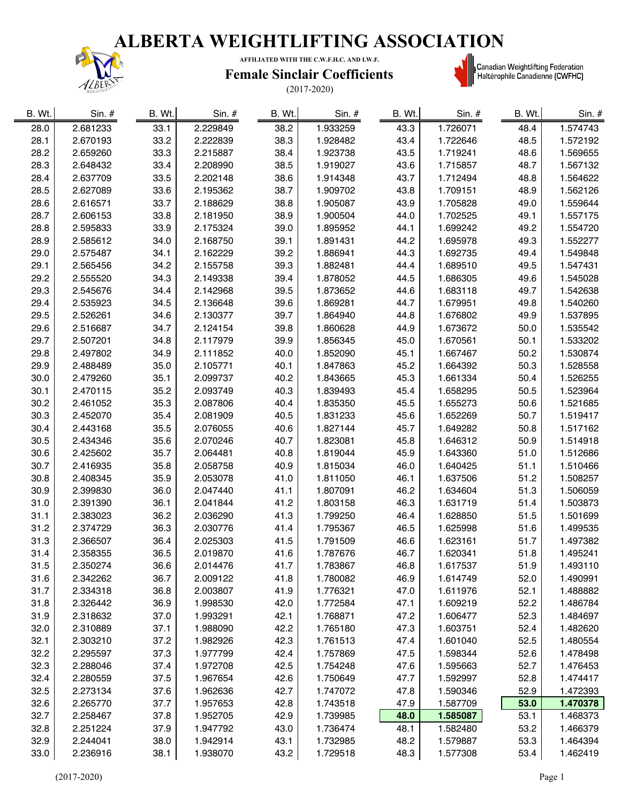

**AFFILIATED WITH THE C.W.F.H.C. AND I.W.F.**

#### **Female Sinclair Coefficients**



| B. Wt. | $Sin.$ # | B. Wt. | Sin. #   | B. Wt. | $Sin.$ # | B. Wt. | Sin. #   | B. Wt. | Sin. #   |
|--------|----------|--------|----------|--------|----------|--------|----------|--------|----------|
| 28.0   | 2.681233 | 33.1   | 2.229849 | 38.2   | 1.933259 | 43.3   | 1.726071 | 48.4   | 1.574743 |
| 28.1   | 2.670193 | 33.2   | 2.222839 | 38.3   | 1.928482 | 43.4   | 1.722646 | 48.5   | 1.572192 |
| 28.2   | 2.659260 | 33.3   | 2.215887 | 38.4   | 1.923738 | 43.5   | 1.719241 | 48.6   | 1.569655 |
| 28.3   | 2.648432 | 33.4   | 2.208990 | 38.5   | 1.919027 | 43.6   | 1.715857 | 48.7   | 1.567132 |
| 28.4   | 2.637709 | 33.5   | 2.202148 | 38.6   | 1.914348 | 43.7   | 1.712494 | 48.8   | 1.564622 |
| 28.5   | 2.627089 | 33.6   | 2.195362 | 38.7   | 1.909702 | 43.8   | 1.709151 | 48.9   | 1.562126 |
| 28.6   | 2.616571 | 33.7   | 2.188629 | 38.8   | 1.905087 | 43.9   | 1.705828 | 49.0   | 1.559644 |
| 28.7   | 2.606153 | 33.8   | 2.181950 | 38.9   | 1.900504 | 44.0   | 1.702525 | 49.1   | 1.557175 |
| 28.8   | 2.595833 | 33.9   | 2.175324 | 39.0   | 1.895952 | 44.1   | 1.699242 | 49.2   | 1.554720 |
| 28.9   | 2.585612 | 34.0   | 2.168750 | 39.1   | 1.891431 | 44.2   | 1.695978 | 49.3   | 1.552277 |
| 29.0   | 2.575487 | 34.1   | 2.162229 | 39.2   | 1.886941 | 44.3   | 1.692735 | 49.4   | 1.549848 |
| 29.1   | 2.565456 | 34.2   | 2.155758 | 39.3   | 1.882481 | 44.4   | 1.689510 | 49.5   | 1.547431 |
| 29.2   | 2.555520 | 34.3   | 2.149338 | 39.4   | 1.878052 | 44.5   | 1.686305 | 49.6   | 1.545028 |
| 29.3   | 2.545676 | 34.4   | 2.142968 | 39.5   | 1.873652 | 44.6   | 1.683118 | 49.7   | 1.542638 |
| 29.4   | 2.535923 | 34.5   | 2.136648 | 39.6   | 1.869281 | 44.7   | 1.679951 | 49.8   | 1.540260 |
| 29.5   | 2.526261 | 34.6   | 2.130377 | 39.7   | 1.864940 | 44.8   | 1.676802 | 49.9   | 1.537895 |
| 29.6   | 2.516687 | 34.7   | 2.124154 | 39.8   | 1.860628 | 44.9   | 1.673672 | 50.0   | 1.535542 |
| 29.7   | 2.507201 | 34.8   | 2.117979 | 39.9   | 1.856345 | 45.0   | 1.670561 | 50.1   | 1.533202 |
| 29.8   | 2.497802 | 34.9   | 2.111852 | 40.0   | 1.852090 | 45.1   | 1.667467 | 50.2   | 1.530874 |
| 29.9   | 2.488489 | 35.0   | 2.105771 | 40.1   | 1.847863 | 45.2   | 1.664392 | 50.3   | 1.528558 |
| 30.0   | 2.479260 | 35.1   | 2.099737 | 40.2   | 1.843665 | 45.3   | 1.661334 | 50.4   | 1.526255 |
| 30.1   | 2.470115 | 35.2   | 2.093749 | 40.3   | 1.839493 | 45.4   | 1.658295 | 50.5   | 1.523964 |
|        |          |        |          |        |          |        |          |        |          |
| 30.2   | 2.461052 | 35.3   | 2.087806 | 40.4   | 1.835350 | 45.5   | 1.655273 | 50.6   | 1.521685 |
| 30.3   | 2.452070 | 35.4   | 2.081909 | 40.5   | 1.831233 | 45.6   | 1.652269 | 50.7   | 1.519417 |
| 30.4   | 2.443168 | 35.5   | 2.076055 | 40.6   | 1.827144 | 45.7   | 1.649282 | 50.8   | 1.517162 |
| 30.5   | 2.434346 | 35.6   | 2.070246 | 40.7   | 1.823081 | 45.8   | 1.646312 | 50.9   | 1.514918 |
| 30.6   | 2.425602 | 35.7   | 2.064481 | 40.8   | 1.819044 | 45.9   | 1.643360 | 51.0   | 1.512686 |
| 30.7   | 2.416935 | 35.8   | 2.058758 | 40.9   | 1.815034 | 46.0   | 1.640425 | 51.1   | 1.510466 |
| 30.8   | 2.408345 | 35.9   | 2.053078 | 41.0   | 1.811050 | 46.1   | 1.637506 | 51.2   | 1.508257 |
| 30.9   | 2.399830 | 36.0   | 2.047440 | 41.1   | 1.807091 | 46.2   | 1.634604 | 51.3   | 1.506059 |
| 31.0   | 2.391390 | 36.1   | 2.041844 | 41.2   | 1.803158 | 46.3   | 1.631719 | 51.4   | 1.503873 |
| 31.1   | 2.383023 | 36.2   | 2.036290 | 41.3   | 1.799250 | 46.4   | 1.628850 | 51.5   | 1.501699 |
| 31.2   | 2.374729 | 36.3   | 2.030776 | 41.4   | 1.795367 | 46.5   | 1.625998 | 51.6   | 1.499535 |
| 31.3   | 2.366507 | 36.4   | 2.025303 | 41.5   | 1.791509 | 46.6   | 1.623161 | 51.7   | 1.497382 |
| 31.4   | 2.358355 | 36.5   | 2.019870 | 41.6   | 1.787676 | 46.7   | 1.620341 | 51.8   | 1.495241 |
| 31.5   | 2.350274 | 36.6   | 2.014476 | 41.7   | 1.783867 | 46.8   | 1.617537 | 51.9   | 1.493110 |
| 31.6   | 2.342262 | 36.7   | 2.009122 | 41.8   | 1.780082 | 46.9   | 1.614749 | 52.0   | 1.490991 |
| 31.7   | 2.334318 | 36.8   | 2.003807 | 41.9   | 1.776321 | 47.0   | 1.611976 | 52.1   | 1.488882 |
| 31.8   | 2.326442 | 36.9   | 1.998530 | 42.0   | 1.772584 | 47.1   | 1.609219 | 52.2   | 1.486784 |
| 31.9   | 2.318632 | 37.0   | 1.993291 | 42.1   | 1.768871 | 47.2   | 1.606477 | 52.3   | 1.484697 |
| 32.0   | 2.310889 | 37.1   | 1.988090 | 42.2   | 1.765180 | 47.3   | 1.603751 | 52.4   | 1.482620 |
| 32.1   | 2.303210 | 37.2   | 1.982926 | 42.3   | 1.761513 | 47.4   | 1.601040 | 52.5   | 1.480554 |
| 32.2   | 2.295597 | 37.3   | 1.977799 | 42.4   | 1.757869 | 47.5   | 1.598344 | 52.6   | 1.478498 |
| 32.3   | 2.288046 | 37.4   | 1.972708 | 42.5   | 1.754248 | 47.6   | 1.595663 | 52.7   | 1.476453 |
| 32.4   | 2.280559 | 37.5   | 1.967654 | 42.6   | 1.750649 | 47.7   | 1.592997 | 52.8   | 1.474417 |
| 32.5   | 2.273134 | 37.6   | 1.962636 | 42.7   | 1.747072 | 47.8   | 1.590346 | 52.9   | 1.472393 |
| 32.6   | 2.265770 | 37.7   | 1.957653 | 42.8   | 1.743518 | 47.9   | 1.587709 | 53.0   | 1.470378 |
| 32.7   | 2.258467 | 37.8   | 1.952705 | 42.9   | 1.739985 | 48.0   | 1.585087 | 53.1   | 1.468373 |
| 32.8   | 2.251224 | 37.9   | 1.947792 | 43.0   | 1.736474 | 48.1   | 1.582480 | 53.2   | 1.466379 |
| 32.9   | 2.244041 | 38.0   | 1.942914 | 43.1   | 1.732985 | 48.2   | 1.579887 | 53.3   | 1.464394 |
| 33.0   | 2.236916 | 38.1   | 1.938070 | 43.2   | 1.729518 | 48.3   | 1.577308 | 53.4   | 1.462419 |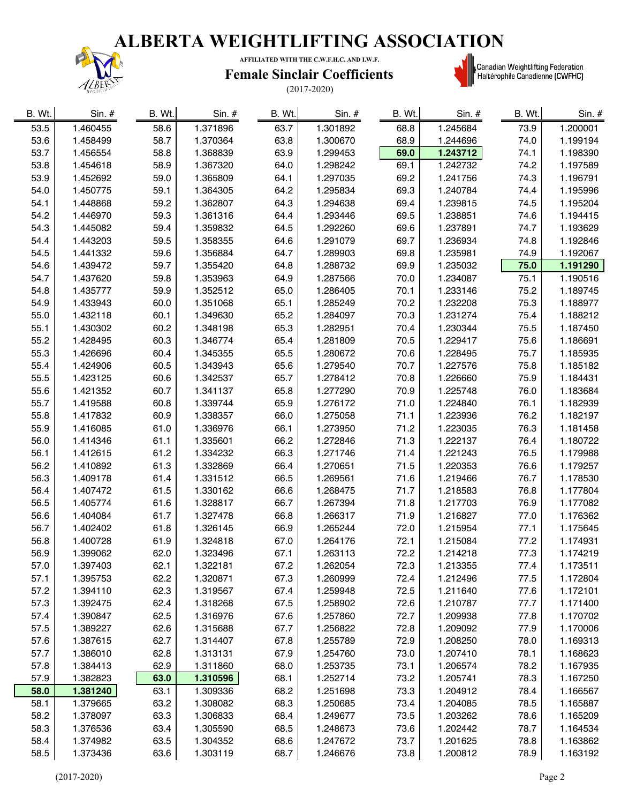### **ALBERTA WEIGHTLIFTING ASSOCIATION**



**AFFILIATED WITH THE C.W.F.H.C. AND I.W.F.**

#### **Female Sinclair Coefficients**



| B. Wt. | $Sin.$ # | B. Wt. | Sin. #   | B. Wt. | $Sin.$ # | B. Wt. | Sin. #   | B. Wt. | Sin. #   |
|--------|----------|--------|----------|--------|----------|--------|----------|--------|----------|
| 53.5   | 1.460455 | 58.6   | 1.371896 | 63.7   | 1.301892 | 68.8   | 1.245684 | 73.9   | 1.200001 |
| 53.6   | 1.458499 | 58.7   | 1.370364 | 63.8   | 1.300670 | 68.9   | 1.244696 | 74.0   | 1.199194 |
| 53.7   | 1.456554 | 58.8   | 1.368839 | 63.9   | 1.299453 | 69.0   | 1.243712 | 74.1   | 1.198390 |
| 53.8   | 1.454618 | 58.9   | 1.367320 | 64.0   | 1.298242 | 69.1   | 1.242732 | 74.2   | 1.197589 |
| 53.9   | 1.452692 | 59.0   | 1.365809 | 64.1   | 1.297035 | 69.2   | 1.241756 | 74.3   | 1.196791 |
| 54.0   | 1.450775 | 59.1   | 1.364305 | 64.2   | 1.295834 | 69.3   | 1.240784 | 74.4   | 1.195996 |
| 54.1   | 1.448868 | 59.2   | 1.362807 | 64.3   | 1.294638 | 69.4   | 1.239815 | 74.5   | 1.195204 |
| 54.2   | 1.446970 | 59.3   | 1.361316 | 64.4   | 1.293446 | 69.5   | 1.238851 | 74.6   | 1.194415 |
| 54.3   | 1.445082 | 59.4   | 1.359832 | 64.5   | 1.292260 | 69.6   | 1.237891 | 74.7   | 1.193629 |
| 54.4   | 1.443203 | 59.5   | 1.358355 | 64.6   | 1.291079 | 69.7   | 1.236934 | 74.8   | 1.192846 |
| 54.5   | 1.441332 | 59.6   | 1.356884 | 64.7   | 1.289903 | 69.8   | 1.235981 | 74.9   | 1.192067 |
| 54.6   | 1.439472 | 59.7   | 1.355420 | 64.8   | 1.288732 | 69.9   | 1.235032 | 75.0   | 1.191290 |
| 54.7   | 1.437620 | 59.8   | 1.353963 | 64.9   | 1.287566 | 70.0   | 1.234087 | 75.1   | 1.190516 |
| 54.8   | 1.435777 | 59.9   | 1.352512 | 65.0   | 1.286405 | 70.1   | 1.233146 | 75.2   | 1.189745 |
| 54.9   | 1.433943 | 60.0   | 1.351068 | 65.1   | 1.285249 | 70.2   | 1.232208 | 75.3   | 1.188977 |
| 55.0   | 1.432118 | 60.1   | 1.349630 | 65.2   | 1.284097 | 70.3   | 1.231274 | 75.4   | 1.188212 |
| 55.1   | 1.430302 | 60.2   | 1.348198 | 65.3   | 1.282951 | 70.4   | 1.230344 | 75.5   | 1.187450 |
| 55.2   | 1.428495 | 60.3   | 1.346774 | 65.4   | 1.281809 | 70.5   | 1.229417 | 75.6   | 1.186691 |
| 55.3   | 1.426696 | 60.4   | 1.345355 | 65.5   | 1.280672 | 70.6   | 1.228495 | 75.7   | 1.185935 |
| 55.4   | 1.424906 | 60.5   | 1.343943 | 65.6   | 1.279540 | 70.7   | 1.227576 | 75.8   | 1.185182 |
| 55.5   | 1.423125 | 60.6   | 1.342537 | 65.7   | 1.278412 | 70.8   | 1.226660 | 75.9   | 1.184431 |
| 55.6   | 1.421352 | 60.7   | 1.341137 | 65.8   | 1.277290 | 70.9   | 1.225748 | 76.0   | 1.183684 |
| 55.7   | 1.419588 | 60.8   | 1.339744 | 65.9   | 1.276172 | 71.0   | 1.224840 | 76.1   | 1.182939 |
| 55.8   | 1.417832 | 60.9   | 1.338357 | 66.0   | 1.275058 | 71.1   | 1.223936 | 76.2   | 1.182197 |
| 55.9   | 1.416085 | 61.0   | 1.336976 | 66.1   | 1.273950 | 71.2   | 1.223035 | 76.3   | 1.181458 |
| 56.0   | 1.414346 | 61.1   | 1.335601 | 66.2   | 1.272846 | 71.3   | 1.222137 | 76.4   | 1.180722 |
| 56.1   | 1.412615 | 61.2   | 1.334232 | 66.3   | 1.271746 | 71.4   | 1.221243 | 76.5   | 1.179988 |
| 56.2   | 1.410892 | 61.3   | 1.332869 | 66.4   | 1.270651 | 71.5   | 1.220353 | 76.6   | 1.179257 |
| 56.3   | 1.409178 | 61.4   | 1.331512 | 66.5   | 1.269561 | 71.6   | 1.219466 | 76.7   | 1.178530 |
| 56.4   | 1.407472 | 61.5   | 1.330162 | 66.6   | 1.268475 | 71.7   | 1.218583 | 76.8   | 1.177804 |
| 56.5   | 1.405774 | 61.6   | 1.328817 | 66.7   | 1.267394 | 71.8   | 1.217703 | 76.9   | 1.177082 |
| 56.6   | 1.404084 | 61.7   | 1.327478 | 66.8   | 1.266317 | 71.9   | 1.216827 | 77.0   | 1.176362 |
| 56.7   | 1.402402 | 61.8   | 1.326145 | 66.9   | 1.265244 | 72.0   | 1.215954 | 77.1   | 1.175645 |
| 56.8   | 1.400728 | 61.9   | 1.324818 | 67.0   | 1.264176 | 72.1   | 1.215084 | 77.2   | 1.174931 |
| 56.9   | 1.399062 | 62.0   | 1.323496 | 67.1   | 1.263113 | 72.2   | 1.214218 | 77.3   | 1.174219 |
| 57.0   | 1.397403 | 62.1   | 1.322181 | 67.2   | 1.262054 | 72.3   | 1.213355 | 77.4   | 1.173511 |
| 57.1   | 1.395753 | 62.2   | 1.320871 | 67.3   | 1.260999 | 72.4   | 1.212496 | 77.5   | 1.172804 |
| 57.2   | 1.394110 | 62.3   | 1.319567 | 67.4   | 1.259948 | 72.5   | 1.211640 | 77.6   | 1.172101 |
| 57.3   | 1.392475 | 62.4   | 1.318268 | 67.5   | 1.258902 | 72.6   | 1.210787 | 77.7   | 1.171400 |
| 57.4   | 1.390847 | 62.5   | 1.316976 | 67.6   | 1.257860 | 72.7   | 1.209938 | 77.8   | 1.170702 |
| 57.5   | 1.389227 | 62.6   | 1.315688 | 67.7   | 1.256822 | 72.8   | 1.209092 | 77.9   | 1.170006 |
| 57.6   | 1.387615 | 62.7   | 1.314407 | 67.8   | 1.255789 | 72.9   | 1.208250 | 78.0   | 1.169313 |
| 57.7   | 1.386010 | 62.8   | 1.313131 | 67.9   | 1.254760 | 73.0   | 1.207410 | 78.1   | 1.168623 |
| 57.8   | 1.384413 | 62.9   | 1.311860 | 68.0   | 1.253735 | 73.1   | 1.206574 | 78.2   | 1.167935 |
| 57.9   | 1.382823 | 63.0   | 1.310596 | 68.1   | 1.252714 | 73.2   | 1.205741 | 78.3   | 1.167250 |
| 58.0   | 1.381240 | 63.1   | 1.309336 | 68.2   | 1.251698 | 73.3   | 1.204912 | 78.4   | 1.166567 |
| 58.1   | 1.379665 | 63.2   | 1.308082 | 68.3   | 1.250685 | 73.4   | 1.204085 | 78.5   | 1.165887 |
| 58.2   | 1.378097 | 63.3   | 1.306833 | 68.4   | 1.249677 | 73.5   | 1.203262 | 78.6   | 1.165209 |
| 58.3   | 1.376536 | 63.4   | 1.305590 | 68.5   | 1.248673 | 73.6   | 1.202442 | 78.7   | 1.164534 |
| 58.4   | 1.374982 | 63.5   | 1.304352 | 68.6   | 1.247672 | 73.7   | 1.201625 | 78.8   | 1.163862 |
| 58.5   | 1.373436 | 63.6   | 1.303119 | 68.7   | 1.246676 | 73.8   | 1.200812 | 78.9   | 1.163192 |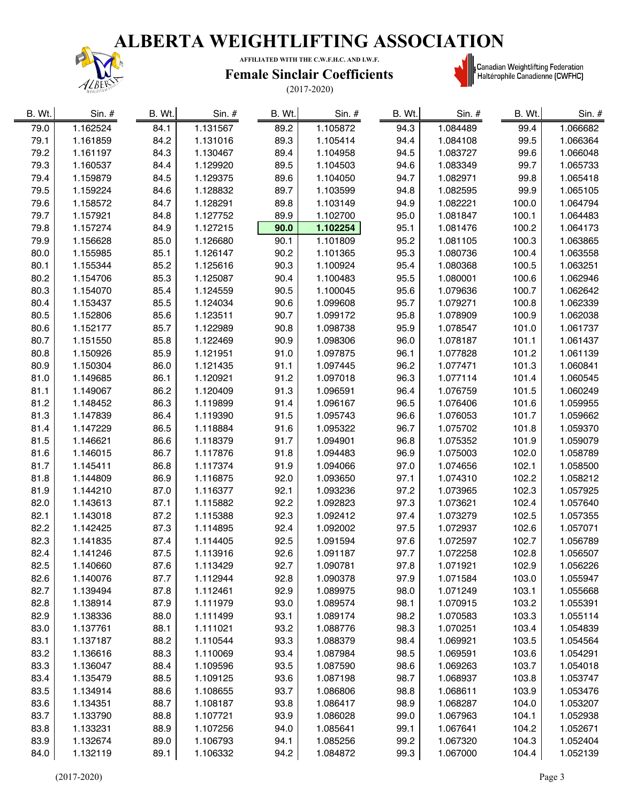

**AFFILIATED WITH THE C.W.F.H.C. AND I.W.F.**

#### **Female Sinclair Coefficients**



| B. Wt. | $Sin.$ # | B. Wt. | $Sin.$ # | B. Wt. | $Sin.$ # | B. Wt. | Sin. #   | B. Wt. | Sin. #   |
|--------|----------|--------|----------|--------|----------|--------|----------|--------|----------|
| 79.0   | 1.162524 | 84.1   | 1.131567 | 89.2   | 1.105872 | 94.3   | 1.084489 | 99.4   | 1.066682 |
| 79.1   | 1.161859 | 84.2   | 1.131016 | 89.3   | 1.105414 | 94.4   | 1.084108 | 99.5   | 1.066364 |
| 79.2   | 1.161197 | 84.3   | 1.130467 | 89.4   | 1.104958 | 94.5   | 1.083727 | 99.6   | 1.066048 |
| 79.3   | 1.160537 | 84.4   | 1.129920 | 89.5   | 1.104503 | 94.6   | 1.083349 | 99.7   | 1.065733 |
| 79.4   | 1.159879 | 84.5   | 1.129375 | 89.6   | 1.104050 | 94.7   | 1.082971 | 99.8   | 1.065418 |
| 79.5   | 1.159224 | 84.6   | 1.128832 | 89.7   | 1.103599 | 94.8   | 1.082595 | 99.9   | 1.065105 |
| 79.6   | 1.158572 | 84.7   | 1.128291 | 89.8   | 1.103149 | 94.9   | 1.082221 | 100.0  | 1.064794 |
| 79.7   | 1.157921 | 84.8   | 1.127752 | 89.9   | 1.102700 | 95.0   | 1.081847 | 100.1  | 1.064483 |
| 79.8   | 1.157274 | 84.9   | 1.127215 | 90.0   | 1.102254 | 95.1   | 1.081476 | 100.2  | 1.064173 |
| 79.9   | 1.156628 | 85.0   | 1.126680 | 90.1   | 1.101809 | 95.2   | 1.081105 | 100.3  | 1.063865 |
| 80.0   | 1.155985 | 85.1   | 1.126147 | 90.2   | 1.101365 | 95.3   | 1.080736 | 100.4  | 1.063558 |
| 80.1   | 1.155344 | 85.2   | 1.125616 | 90.3   | 1.100924 | 95.4   | 1.080368 | 100.5  | 1.063251 |
| 80.2   | 1.154706 | 85.3   | 1.125087 | 90.4   | 1.100483 | 95.5   | 1.080001 | 100.6  | 1.062946 |
| 80.3   | 1.154070 | 85.4   | 1.124559 | 90.5   | 1.100045 | 95.6   | 1.079636 | 100.7  | 1.062642 |
| 80.4   | 1.153437 | 85.5   | 1.124034 | 90.6   | 1.099608 | 95.7   | 1.079271 | 100.8  | 1.062339 |
| 80.5   | 1.152806 | 85.6   | 1.123511 | 90.7   | 1.099172 | 95.8   | 1.078909 | 100.9  | 1.062038 |
| 80.6   | 1.152177 | 85.7   | 1.122989 | 90.8   | 1.098738 | 95.9   | 1.078547 | 101.0  | 1.061737 |
| 80.7   | 1.151550 | 85.8   | 1.122469 | 90.9   | 1.098306 | 96.0   | 1.078187 | 101.1  | 1.061437 |
| 80.8   | 1.150926 | 85.9   | 1.121951 | 91.0   | 1.097875 | 96.1   | 1.077828 | 101.2  | 1.061139 |
| 80.9   | 1.150304 | 86.0   | 1.121435 | 91.1   | 1.097445 | 96.2   | 1.077471 | 101.3  | 1.060841 |
| 81.0   | 1.149685 | 86.1   | 1.120921 | 91.2   | 1.097018 | 96.3   | 1.077114 | 101.4  | 1.060545 |
| 81.1   | 1.149067 | 86.2   | 1.120409 | 91.3   | 1.096591 | 96.4   | 1.076759 | 101.5  | 1.060249 |
| 81.2   | 1.148452 | 86.3   | 1.119899 | 91.4   | 1.096167 | 96.5   | 1.076406 | 101.6  | 1.059955 |
| 81.3   | 1.147839 | 86.4   | 1.119390 | 91.5   | 1.095743 | 96.6   | 1.076053 | 101.7  | 1.059662 |
| 81.4   | 1.147229 | 86.5   | 1.118884 | 91.6   | 1.095322 | 96.7   | 1.075702 | 101.8  | 1.059370 |
| 81.5   | 1.146621 | 86.6   | 1.118379 | 91.7   | 1.094901 | 96.8   | 1.075352 | 101.9  | 1.059079 |
| 81.6   | 1.146015 | 86.7   | 1.117876 | 91.8   | 1.094483 | 96.9   | 1.075003 | 102.0  | 1.058789 |
| 81.7   | 1.145411 | 86.8   | 1.117374 | 91.9   | 1.094066 | 97.0   | 1.074656 | 102.1  | 1.058500 |
| 81.8   | 1.144809 | 86.9   | 1.116875 | 92.0   | 1.093650 | 97.1   | 1.074310 | 102.2  | 1.058212 |
| 81.9   | 1.144210 | 87.0   | 1.116377 | 92.1   | 1.093236 | 97.2   | 1.073965 | 102.3  | 1.057925 |
| 82.0   | 1.143613 | 87.1   | 1.115882 | 92.2   | 1.092823 | 97.3   | 1.073621 | 102.4  | 1.057640 |
| 82.1   | 1.143018 | 87.2   | 1.115388 | 92.3   | 1.092412 | 97.4   | 1.073279 | 102.5  | 1.057355 |
| 82.2   | 1.142425 | 87.3   | 1.114895 | 92.4   | 1.092002 | 97.5   | 1.072937 | 102.6  | 1.057071 |
| 82.3   | 1.141835 | 87.4   | 1.114405 | 92.5   | 1.091594 | 97.6   | 1.072597 | 102.7  | 1.056789 |
| 82.4   | 1.141246 | 87.5   | 1.113916 | 92.6   | 1.091187 | 97.7   | 1.072258 | 102.8  | 1.056507 |
| 82.5   | 1.140660 | 87.6   | 1.113429 | 92.7   | 1.090781 | 97.8   | 1.071921 | 102.9  | 1.056226 |
| 82.6   | 1.140076 | 87.7   | 1.112944 | 92.8   | 1.090378 | 97.9   | 1.071584 | 103.0  | 1.055947 |
| 82.7   | 1.139494 | 87.8   | 1.112461 | 92.9   | 1.089975 | 98.0   | 1.071249 | 103.1  | 1.055668 |
| 82.8   | 1.138914 | 87.9   | 1.111979 | 93.0   | 1.089574 | 98.1   | 1.070915 | 103.2  | 1.055391 |
| 82.9   | 1.138336 | 88.0   | 1.111499 | 93.1   | 1.089174 | 98.2   | 1.070583 | 103.3  | 1.055114 |
| 83.0   | 1.137761 | 88.1   | 1.111021 | 93.2   | 1.088776 | 98.3   | 1.070251 | 103.4  | 1.054839 |
| 83.1   | 1.137187 | 88.2   | 1.110544 | 93.3   | 1.088379 | 98.4   | 1.069921 | 103.5  | 1.054564 |
| 83.2   | 1.136616 | 88.3   | 1.110069 | 93.4   | 1.087984 | 98.5   | 1.069591 | 103.6  | 1.054291 |
| 83.3   | 1.136047 | 88.4   | 1.109596 | 93.5   | 1.087590 | 98.6   | 1.069263 | 103.7  | 1.054018 |
| 83.4   | 1.135479 | 88.5   | 1.109125 | 93.6   | 1.087198 | 98.7   | 1.068937 | 103.8  | 1.053747 |
| 83.5   | 1.134914 | 88.6   | 1.108655 | 93.7   | 1.086806 | 98.8   | 1.068611 | 103.9  | 1.053476 |
| 83.6   | 1.134351 | 88.7   | 1.108187 | 93.8   | 1.086417 | 98.9   | 1.068287 | 104.0  | 1.053207 |
| 83.7   | 1.133790 | 88.8   | 1.107721 | 93.9   | 1.086028 | 99.0   | 1.067963 | 104.1  | 1.052938 |
| 83.8   | 1.133231 | 88.9   | 1.107256 | 94.0   | 1.085641 | 99.1   | 1.067641 | 104.2  | 1.052671 |
| 83.9   | 1.132674 | 89.0   | 1.106793 | 94.1   | 1.085256 | 99.2   | 1.067320 | 104.3  | 1.052404 |
| 84.0   | 1.132119 | 89.1   | 1.106332 | 94.2   | 1.084872 | 99.3   | 1.067000 | 104.4  | 1.052139 |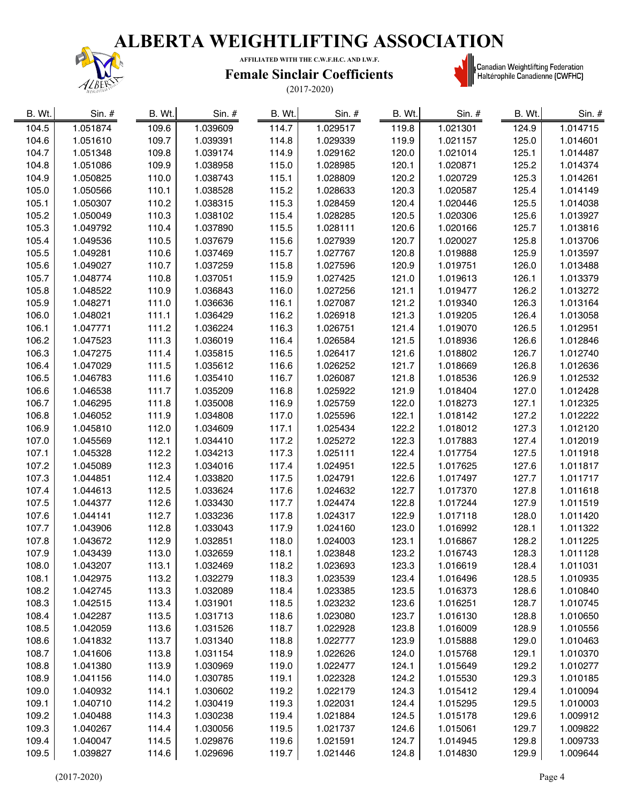

**AFFILIATED WITH THE C.W.F.H.C. AND I.W.F.**

#### **Female Sinclair Coefficients**



| B. Wt. | $Sin.$ # | B. Wt. | Sin. $#$ | B. Wt. | Sin. #   | B. Wt. | Sin. $#$ | B. Wt. | Sin. #   |
|--------|----------|--------|----------|--------|----------|--------|----------|--------|----------|
| 104.5  | 1.051874 | 109.6  | 1.039609 | 114.7  | 1.029517 | 119.8  | 1.021301 | 124.9  | 1.014715 |
| 104.6  | 1.051610 | 109.7  | 1.039391 | 114.8  | 1.029339 | 119.9  | 1.021157 | 125.0  | 1.014601 |
| 104.7  | 1.051348 | 109.8  | 1.039174 | 114.9  | 1.029162 | 120.0  | 1.021014 | 125.1  | 1.014487 |
| 104.8  | 1.051086 | 109.9  | 1.038958 | 115.0  | 1.028985 | 120.1  | 1.020871 | 125.2  | 1.014374 |
| 104.9  | 1.050825 | 110.0  | 1.038743 | 115.1  | 1.028809 | 120.2  | 1.020729 | 125.3  | 1.014261 |
| 105.0  | 1.050566 | 110.1  | 1.038528 | 115.2  | 1.028633 | 120.3  | 1.020587 | 125.4  | 1.014149 |
| 105.1  | 1.050307 | 110.2  | 1.038315 | 115.3  | 1.028459 | 120.4  | 1.020446 | 125.5  | 1.014038 |
| 105.2  | 1.050049 | 110.3  | 1.038102 | 115.4  | 1.028285 | 120.5  | 1.020306 | 125.6  | 1.013927 |
| 105.3  | 1.049792 | 110.4  | 1.037890 | 115.5  | 1.028111 | 120.6  | 1.020166 | 125.7  | 1.013816 |
| 105.4  | 1.049536 | 110.5  | 1.037679 | 115.6  | 1.027939 | 120.7  | 1.020027 | 125.8  | 1.013706 |
| 105.5  | 1.049281 | 110.6  | 1.037469 | 115.7  | 1.027767 | 120.8  | 1.019888 | 125.9  | 1.013597 |
| 105.6  | 1.049027 | 110.7  | 1.037259 | 115.8  | 1.027596 | 120.9  | 1.019751 | 126.0  | 1.013488 |
| 105.7  | 1.048774 | 110.8  | 1.037051 | 115.9  | 1.027425 | 121.0  | 1.019613 | 126.1  | 1.013379 |
| 105.8  | 1.048522 | 110.9  | 1.036843 | 116.0  | 1.027256 | 121.1  | 1.019477 | 126.2  | 1.013272 |
| 105.9  | 1.048271 | 111.0  | 1.036636 | 116.1  | 1.027087 | 121.2  | 1.019340 | 126.3  | 1.013164 |
| 106.0  | 1.048021 | 111.1  | 1.036429 | 116.2  | 1.026918 | 121.3  | 1.019205 | 126.4  | 1.013058 |
| 106.1  | 1.047771 | 111.2  | 1.036224 | 116.3  | 1.026751 | 121.4  | 1.019070 | 126.5  | 1.012951 |
| 106.2  | 1.047523 | 111.3  | 1.036019 | 116.4  | 1.026584 | 121.5  | 1.018936 | 126.6  | 1.012846 |
| 106.3  | 1.047275 | 111.4  | 1.035815 | 116.5  | 1.026417 | 121.6  | 1.018802 | 126.7  | 1.012740 |
| 106.4  | 1.047029 | 111.5  | 1.035612 | 116.6  | 1.026252 | 121.7  | 1.018669 | 126.8  | 1.012636 |
| 106.5  | 1.046783 | 111.6  | 1.035410 | 116.7  | 1.026087 | 121.8  | 1.018536 | 126.9  | 1.012532 |
| 106.6  | 1.046538 | 111.7  | 1.035209 | 116.8  | 1.025922 | 121.9  | 1.018404 | 127.0  | 1.012428 |
| 106.7  | 1.046295 | 111.8  | 1.035008 | 116.9  | 1.025759 | 122.0  | 1.018273 | 127.1  | 1.012325 |
| 106.8  | 1.046052 | 111.9  | 1.034808 | 117.0  | 1.025596 | 122.1  | 1.018142 | 127.2  | 1.012222 |
| 106.9  | 1.045810 | 112.0  | 1.034609 | 117.1  | 1.025434 | 122.2  | 1.018012 | 127.3  | 1.012120 |
| 107.0  | 1.045569 | 112.1  | 1.034410 | 117.2  | 1.025272 | 122.3  | 1.017883 | 127.4  | 1.012019 |
| 107.1  | 1.045328 | 112.2  | 1.034213 | 117.3  | 1.025111 | 122.4  | 1.017754 | 127.5  | 1.011918 |
| 107.2  | 1.045089 | 112.3  | 1.034016 | 117.4  | 1.024951 | 122.5  | 1.017625 | 127.6  | 1.011817 |
| 107.3  | 1.044851 | 112.4  | 1.033820 | 117.5  | 1.024791 | 122.6  | 1.017497 | 127.7  | 1.011717 |
| 107.4  | 1.044613 | 112.5  | 1.033624 | 117.6  | 1.024632 | 122.7  | 1.017370 | 127.8  | 1.011618 |
| 107.5  | 1.044377 | 112.6  | 1.033430 | 117.7  | 1.024474 | 122.8  | 1.017244 | 127.9  | 1.011519 |
| 107.6  | 1.044141 | 112.7  | 1.033236 | 117.8  | 1.024317 | 122.9  | 1.017118 | 128.0  | 1.011420 |
| 107.7  | 1.043906 | 112.8  | 1.033043 | 117.9  | 1.024160 | 123.0  | 1.016992 | 128.1  | 1.011322 |
| 107.8  | 1.043672 | 112.9  | 1.032851 | 118.0  | 1.024003 | 123.1  | 1.016867 | 128.2  | 1.011225 |
| 107.9  | 1.043439 | 113.0  | 1.032659 | 118.1  | 1.023848 | 123.2  | 1.016743 | 128.3  | 1.011128 |
| 108.0  | 1.043207 | 113.1  | 1.032469 | 118.2  | 1.023693 | 123.3  | 1.016619 | 128.4  | 1.011031 |
| 108.1  | 1.042975 | 113.2  | 1.032279 | 118.3  | 1.023539 | 123.4  | 1.016496 | 128.5  | 1.010935 |
| 108.2  | 1.042745 | 113.3  | 1.032089 | 118.4  | 1.023385 | 123.5  | 1.016373 | 128.6  | 1.010840 |
| 108.3  | 1.042515 | 113.4  | 1.031901 | 118.5  | 1.023232 | 123.6  | 1.016251 | 128.7  | 1.010745 |
| 108.4  | 1.042287 | 113.5  | 1.031713 | 118.6  | 1.023080 | 123.7  | 1.016130 | 128.8  | 1.010650 |
| 108.5  | 1.042059 | 113.6  | 1.031526 | 118.7  | 1.022928 | 123.8  | 1.016009 | 128.9  | 1.010556 |
| 108.6  | 1.041832 | 113.7  | 1.031340 | 118.8  | 1.022777 | 123.9  | 1.015888 | 129.0  | 1.010463 |
| 108.7  | 1.041606 | 113.8  | 1.031154 | 118.9  | 1.022626 | 124.0  | 1.015768 | 129.1  | 1.010370 |
| 108.8  | 1.041380 | 113.9  | 1.030969 | 119.0  | 1.022477 | 124.1  | 1.015649 | 129.2  | 1.010277 |
| 108.9  | 1.041156 | 114.0  | 1.030785 | 119.1  | 1.022328 | 124.2  | 1.015530 | 129.3  | 1.010185 |
| 109.0  | 1.040932 | 114.1  | 1.030602 | 119.2  | 1.022179 | 124.3  | 1.015412 | 129.4  | 1.010094 |
| 109.1  | 1.040710 | 114.2  | 1.030419 | 119.3  | 1.022031 | 124.4  | 1.015295 | 129.5  | 1.010003 |
| 109.2  | 1.040488 | 114.3  | 1.030238 | 119.4  | 1.021884 | 124.5  | 1.015178 | 129.6  | 1.009912 |
| 109.3  | 1.040267 | 114.4  | 1.030056 | 119.5  | 1.021737 | 124.6  | 1.015061 | 129.7  | 1.009822 |
| 109.4  | 1.040047 | 114.5  | 1.029876 | 119.6  | 1.021591 | 124.7  | 1.014945 | 129.8  | 1.009733 |
| 109.5  | 1.039827 | 114.6  | 1.029696 | 119.7  | 1.021446 | 124.8  | 1.014830 | 129.9  | 1.009644 |